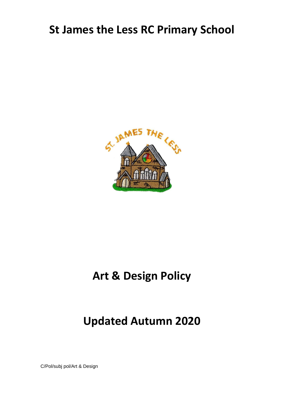## **St James the Less RC Primary School**



# **Art & Design Policy**

## **Updated Autumn 2020**

C/Pol/subj pol/Art & Design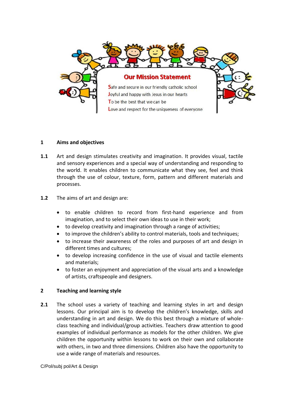

## **1 Aims and objectives**

- **1.1** Art and design stimulates creativity and imagination. It provides visual, tactile and sensory experiences and a special way of understanding and responding to the world. It enables children to communicate what they see, feel and think through the use of colour, texture, form, pattern and different materials and processes.
- **1.2** The aims of art and design are:
	- to enable children to record from first-hand experience and from imagination, and to select their own ideas to use in their work;
	- to develop creativity and imagination through a range of activities;
	- to improve the children's ability to control materials, tools and techniques;
	- to increase their awareness of the roles and purposes of art and design in different times and cultures;
	- to develop increasing confidence in the use of visual and tactile elements and materials;
	- to foster an enjoyment and appreciation of the visual arts and a knowledge of artists, craftspeople and designers.

#### **2 Teaching and learning style**

**2.1** The school uses a variety of teaching and learning styles in art and design lessons. Our principal aim is to develop the children's knowledge, skills and understanding in art and design. We do this best through a mixture of wholeclass teaching and individual/group activities. Teachers draw attention to good examples of individual performance as models for the other children. We give children the opportunity within lessons to work on their own and collaborate with others, in two and three dimensions. Children also have the opportunity to use a wide range of materials and resources.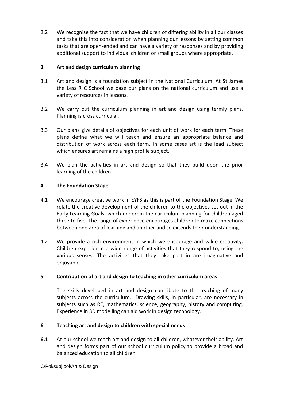2.2 We recognise the fact that we have children of differing ability in all our classes and take this into consideration when planning our lessons by setting common tasks that are open-ended and can have a variety of responses and by providing additional support to individual children or small groups where appropriate.

## **3 Art and design curriculum planning**

- 3.1 Art and design is a foundation subject in the National Curriculum. At St James the Less R C School we base our plans on the national curriculum and use a variety of resources in lessons.
- 3.2 We carry out the curriculum planning in art and design using termly plans. Planning is cross curricular.
- 3.3 Our plans give details of objectives for each unit of work for each term. These plans define what we will teach and ensure an appropriate balance and distribution of work across each term. In some cases art is the lead subject which ensures art remains a high profile subject.
- 3.4 We plan the activities in art and design so that they build upon the prior learning of the children.

#### **4 The Foundation Stage**

- 4.1 We encourage creative work in EYFS as this is part of the Foundation Stage. We relate the creative development of the children to the objectives set out in the Early Learning Goals, which underpin the curriculum planning for children aged three to five. The range of experience encourages children to make connections between one area of learning and another and so extends their understanding.
- 4.2 We provide a rich environment in which we encourage and value creativity. Children experience a wide range of activities that they respond to, using the various senses. The activities that they take part in are imaginative and enjoyable.

## **5 Contribution of art and design to teaching in other curriculum areas**

The skills developed in art and design contribute to the teaching of many subjects across the curriculum. Drawing skills, in particular, are necessary in subjects such as RE, mathematics, science, geography, history and computing. Experience in 3D modelling can aid work in design technology.

## **6 Teaching art and design to children with special needs**

**6.1** At our school we teach art and design to all children, whatever their ability. Art and design forms part of our school curriculum policy to provide a broad and balanced education to all children.